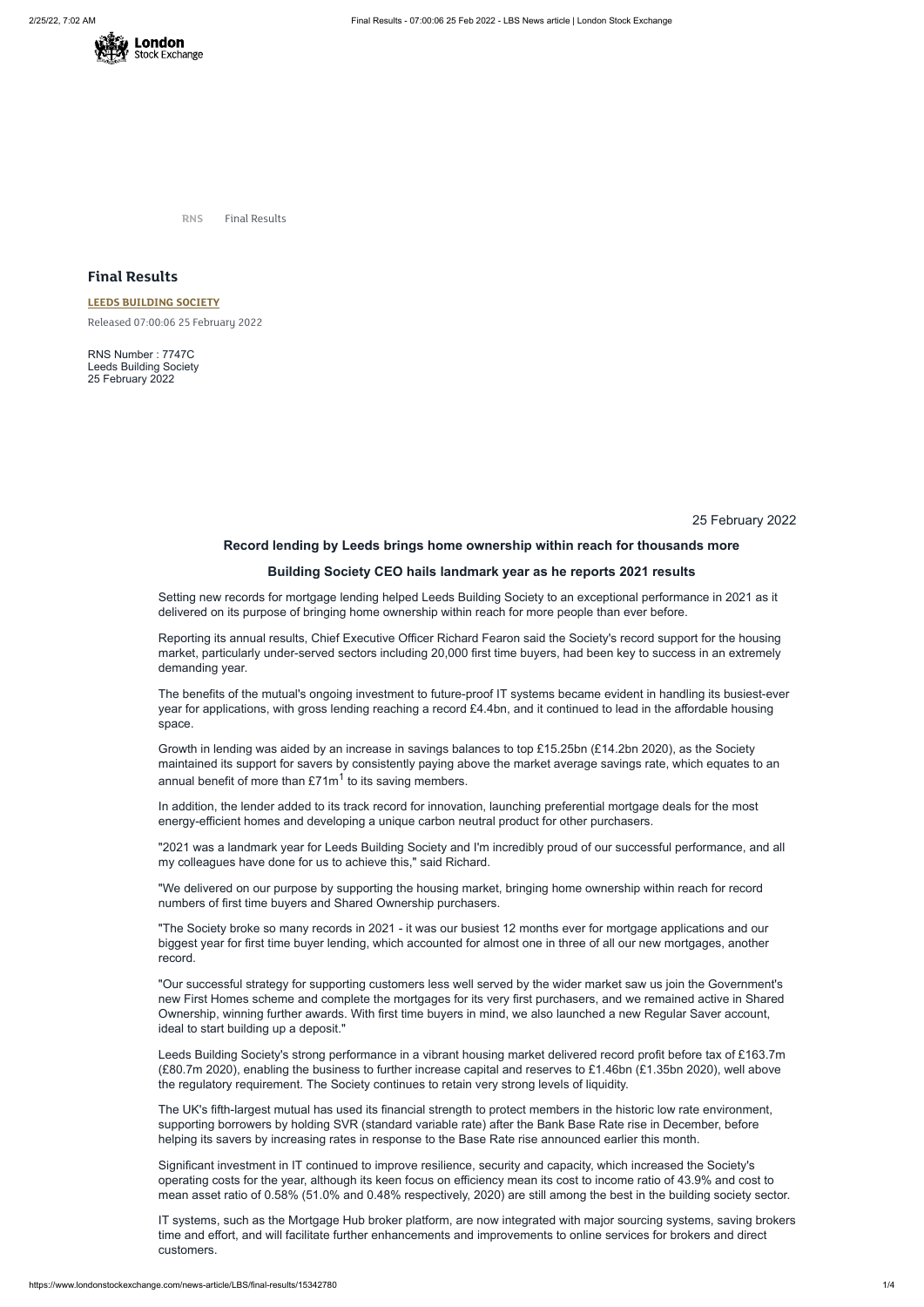

**RNS** Final Results

## **Final Results**

## **LEEDS [BUILDING](https://www.londonstockexchange.com/stock/LBS/leeds-building-society) SOCIETY**

Released 07:00:06 25 February 2022

RNS Number : 7747C Leeds Building Society 25 February 2022

25 February 2022

## **Record lending by Leeds brings home ownership within reach for thousands more**

### **Building Society CEO hails landmark year as he reports 2021 results**

Setting new records for mortgage lending helped Leeds Building Society to an exceptional performance in 2021 as it delivered on its purpose of bringing home ownership within reach for more people than ever before.

Growth in lending was aided by an increase in savings balances to top £15.25bn (£14.2bn 2020), as the Society maintained its support for savers by consistently paying above the market average savings rate, which equates to an annual benefit of more than £71m $^{\rm 1}$  to its saving members.

Reporting its annual results, Chief Executive Officer Richard Fearon said the Society's record support for the housing market, particularly under-served sectors including 20,000 first time buyers, had been key to success in an extremely demanding year.

The benefits of the mutual's ongoing investment to future-proof IT systems became evident in handling its busiest-ever year for applications, with gross lending reaching a record £4.4bn, and it continued to lead in the affordable housing space.

In addition, the lender added to its track record for innovation, launching preferential mortgage deals for the most energy-efficient homes and developing a unique carbon neutral product for other purchasers.

"2021 was a landmark year for Leeds Building Society and I'm incredibly proud of our successful performance, and all my colleagues have done for us to achieve this," said Richard.

"We delivered on our purpose by supporting the housing market, bringing home ownership within reach for record numbers of first time buyers and Shared Ownership purchasers.

"The Society broke so many records in 2021 - it was our busiest 12 months ever for mortgage applications and our biggest year for first time buyer lending, which accounted for almost one in three of all our new mortgages, another record.

"Our successful strategy for supporting customers less well served by the wider market saw us join the Government's new First Homes scheme and complete the mortgages for its very first purchasers, and we remained active in Shared Ownership, winning further awards. With first time buyers in mind, we also launched a new Regular Saver account, ideal to start building up a deposit."

Leeds Building Society's strong performance in a vibrant housing market delivered record profit before tax of £163.7m (£80.7m 2020), enabling the business to further increase capital and reserves to £1.46bn (£1.35bn 2020), well above the regulatory requirement. The Society continues to retain very strong levels of liquidity.

The UK's fifth-largest mutual has used its financial strength to protect members in the historic low rate environment, supporting borrowers by holding SVR (standard variable rate) after the Bank Base Rate rise in December, before helping its savers by increasing rates in response to the Base Rate rise announced earlier this month.

Significant investment in IT continued to improve resilience, security and capacity, which increased the Society's operating costs for the year, although its keen focus on efficiency mean its cost to income ratio of 43.9% and cost to mean asset ratio of 0.58% (51.0% and 0.48% respectively, 2020) are still among the best in the building society sector.

IT systems, such as the Mortgage Hub broker platform, are now integrated with major sourcing systems, saving brokers time and effort, and will facilitate further enhancements and improvements to online services for brokers and direct customers.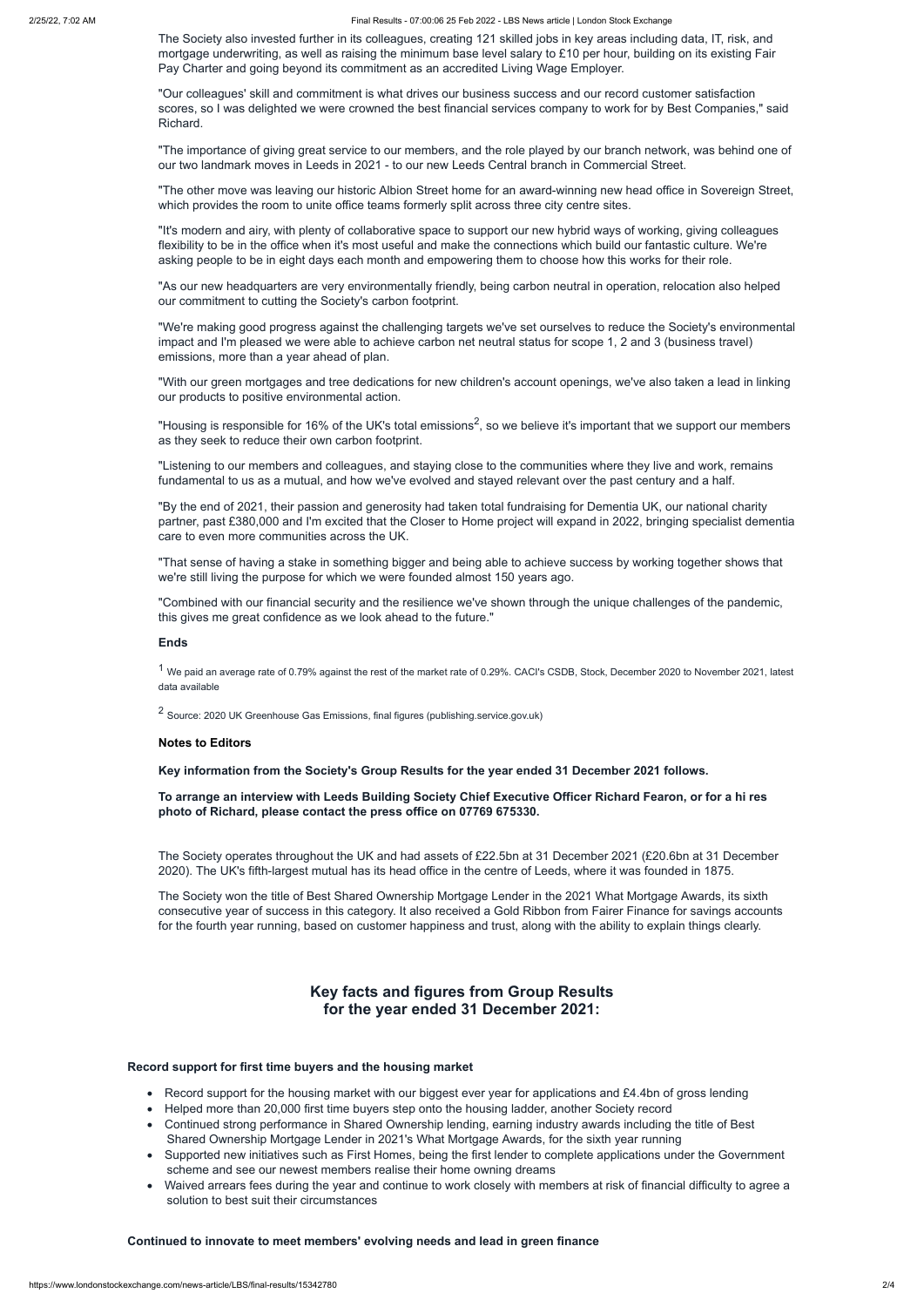2/25/22, 7:02 AM Final Results - 07:00:06 25 Feb 2022 - LBS News article | London Stock Exchange

The Society also invested further in its colleagues, creating 121 skilled jobs in key areas including data, IT, risk, and mortgage underwriting, as well as raising the minimum base level salary to £10 per hour, building on its existing Fair Pay Charter and going beyond its commitment as an accredited Living Wage Employer.

"Our colleagues' skill and commitment is what drives our business success and our record customer satisfaction scores, so I was delighted we were crowned the best financial services company to work for by Best Companies," said Richard.

"The importance of giving great service to our members, and the role played by our branch network, was behind one of our two landmark moves in Leeds in 2021 - to our new Leeds Central branch in Commercial Street.

"The other move was leaving our historic Albion Street home for an award-winning new head office in Sovereign Street, which provides the room to unite office teams formerly split across three city centre sites.

"Housing is responsible for 16% of the UK's total emissions<sup>2</sup>, so we believe it's important that we support our members as they seek to reduce their own carbon footprint.

"It's modern and airy, with plenty of collaborative space to support our new hybrid ways of working, giving colleagues flexibility to be in the office when it's most useful and make the connections which build our fantastic culture. We're asking people to be in eight days each month and empowering them to choose how this works for their role.

"As our new headquarters are very environmentally friendly, being carbon neutral in operation, relocation also helped our commitment to cutting the Society's carbon footprint.

<sup>1</sup> We paid an average rate of 0.79% against the rest of the market rate of 0.29%. CACI's CSDB, Stock, December 2020 to November 2021, latest data available

<sup>2</sup> Source: 2020 UK Greenhouse Gas Emissions, final figures (publishing.service.gov.uk)

"We're making good progress against the challenging targets we've set ourselves to reduce the Society's environmental impact and I'm pleased we were able to achieve carbon net neutral status for scope 1, 2 and 3 (business travel) emissions, more than a year ahead of plan.

To arrange an interview with Leeds Building Society Chief Executive Officer Richard Fearon, or for a hi res **photo of Richard, please contact the press office on 07769 675330.**

"With our green mortgages and tree dedications for new children's account openings, we've also taken a lead in linking our products to positive environmental action.

"Listening to our members and colleagues, and staying close to the communities where they live and work, remains fundamental to us as a mutual, and how we've evolved and stayed relevant over the past century and a half.

- Record support for the housing market with our biggest ever year for applications and £4.4bn of gross lending
- · Helped more than 20,000 first time buyers step onto the housing ladder, another Society record
- · Continued strong performance in Shared Ownership lending, earning industry awards including the title of Best Shared Ownership Mortgage Lender in 2021's What Mortgage Awards, for the sixth year running
- · Supported new initiatives such as First Homes, being the first lender to complete applications under the Government scheme and see our newest members realise their home owning dreams
- · Waived arrears fees during the year and continue to work closely with members at risk of financial difficulty to agree a solution to best suit their circumstances

"By the end of 2021, their passion and generosity had taken total fundraising for Dementia UK, our national charity partner, past £380,000 and I'm excited that the Closer to Home project will expand in 2022, bringing specialist dementia care to even more communities across the UK.

"That sense of having a stake in something bigger and being able to achieve success by working together shows that we're still living the purpose for which we were founded almost 150 years ago.

"Combined with our financial security and the resilience we've shown through the unique challenges of the pandemic, this gives me great confidence as we look ahead to the future."

#### **Ends**

#### **Notes to Editors**

**Key information from the Society's Group Results for the year ended 31 December 2021 follows.**

The Society operates throughout the UK and had assets of £22.5bn at 31 December 2021 (£20.6bn at 31 December 2020). The UK's fifth-largest mutual has its head office in the centre of Leeds, where it was founded in 1875.

The Society won the title of Best Shared Ownership Mortgage Lender in the 2021 What Mortgage Awards, its sixth consecutive year of success in this category. It also received a Gold Ribbon from Fairer Finance for savings accounts for the fourth year running, based on customer happiness and trust, along with the ability to explain things clearly.

# **Key facts and figures from Group Results for the year ended 31 December 2021:**

## **Record support for first time buyers and the housing market**

## **Continued to innovate to meet members' evolving needs and lead in green finance**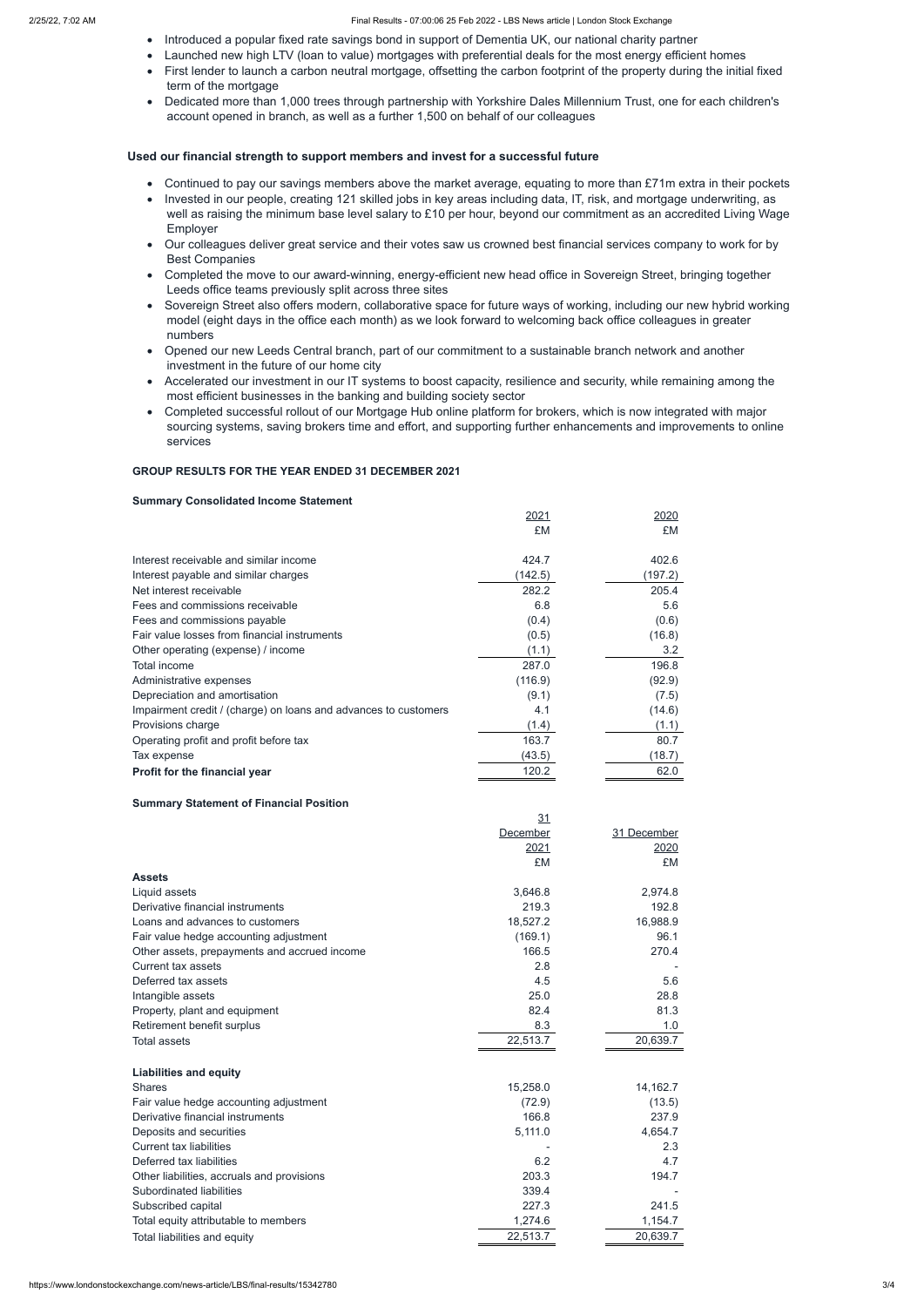- · Introduced a popular fixed rate savings bond in support of Dementia UK, our national charity partner
- · Launched new high LTV (loan to value) mortgages with preferential deals for the most energy efficient homes
- · First lender to launch a carbon neutral mortgage, offsetting the carbon footprint of the property during the initial fixed term of the mortgage
- · Dedicated more than 1,000 trees through partnership with Yorkshire Dales Millennium Trust, one for each children's account opened in branch, as well as a further 1,500 on behalf of our colleagues

#### **Used our financial strength to support members and invest for a successful future**

- Continued to pay our savings members above the market average, equating to more than £71m extra in their pockets
- · Invested in our people, creating 121 skilled jobs in key areas including data, IT, risk, and mortgage underwriting, as well as raising the minimum base level salary to £10 per hour, beyond our commitment as an accredited Living Wage Employer
- · Our colleagues deliver great service and their votes saw us crowned best financial services company to work for by Best Companies
- · Completed the move to our award-winning, energy-efficient new head office in Sovereign Street, bringing together Leeds office teams previously split across three sites
- · Sovereign Street also offers modern, collaborative space for future ways of working, including our new hybrid working model (eight days in the office each month) as we look forward to welcoming back office colleagues in greater numbers
- · Opened our new Leeds Central branch, part of our commitment to a sustainable branch network and another investment in the future of our home city
- · Accelerated our investment in our IT systems to boost capacity, resilience and security, while remaining among the most efficient businesses in the banking and building society sector
- · Completed successful rollout of our Mortgage Hub online platform for brokers, which is now integrated with major sourcing systems, saving brokers time and effort, and supporting further enhancements and improvements to online services

#### **GROUP RESULTS FOR THE YEAR ENDED 31 DECEMBER 2021**

#### **Summary Consolidated Income Statement**

|                                                                 | 2021    | <u> 2020</u> |
|-----------------------------------------------------------------|---------|--------------|
|                                                                 | £M      | £M           |
| Interest receivable and similar income                          | 424.7   | 402.6        |
| Interest payable and similar charges                            | (142.5) | (197.2)      |
| Net interest receivable                                         | 282.2   | 205.4        |
| Fees and commissions receivable                                 | 6.8     | 5.6          |
| Fees and commissions payable                                    | (0.4)   | (0.6)        |
| Fair value losses from financial instruments                    | (0.5)   | (16.8)       |
| Other operating (expense) / income                              | (1.1)   | 3.2          |
| Total income                                                    | 287.0   | 196.8        |
| Administrative expenses                                         | (116.9) | (92.9)       |
| Depreciation and amortisation                                   | (9.1)   | (7.5)        |
| Impairment credit / (charge) on loans and advances to customers | 4.1     | (14.6)       |
| Provisions charge                                               | (1.4)   | (1.1)        |
| Operating profit and profit before tax                          | 163.7   | 80.7         |
| Tax expense                                                     | (43.5)  | (18.7)       |
| Profit for the financial year                                   | 120.2   | 62.0         |

#### **Summary Statement of Financial Position**

|                                              | 31       |             |
|----------------------------------------------|----------|-------------|
|                                              | December | 31 December |
|                                              | 2021     | 2020        |
|                                              | £M       | £M          |
| <b>Assets</b>                                |          |             |
| Liquid assets                                | 3,646.8  | 2,974.8     |
| Derivative financial instruments             | 219.3    | 192.8       |
| Loans and advances to customers              | 18,527.2 | 16,988.9    |
| Fair value hedge accounting adjustment       | (169.1)  | 96.1        |
| Other assets, prepayments and accrued income | 166.5    | 270.4       |
| <b>Current tax assets</b>                    | 2.8      |             |
| Deferred tax assets                          | 4.5      | 5.6         |
| Intangible assets                            | 25.0     | 28.8        |
| Property, plant and equipment                | 82.4     | 81.3        |
| Retirement benefit surplus                   | 8.3      | 1.0         |
| <b>Total assets</b>                          | 22,513.7 | 20,639.7    |
| <b>Liabilities and equity</b>                |          |             |
| <b>Shares</b>                                | 15,258.0 | 14,162.7    |
| Fair value hedge accounting adjustment       | (72.9)   | (13.5)      |
| Derivative financial instruments             | 166.8    | 237.9       |
| Deposits and securities                      | 5,111.0  | 4,654.7     |
| <b>Current tax liabilities</b>               |          | 2.3         |
| Deferred tax liabilities                     | 6.2      | 4.7         |
| Other liabilities, accruals and provisions   | 203.3    | 194.7       |
| Subordinated liabilities                     | 339.4    |             |
| Subscribed capital                           | 227.3    | 241.5       |
| Total equity attributable to members         | 1,274.6  | 1,154.7     |
| Total liabilities and equity                 | 22,513.7 | 20,639.7    |